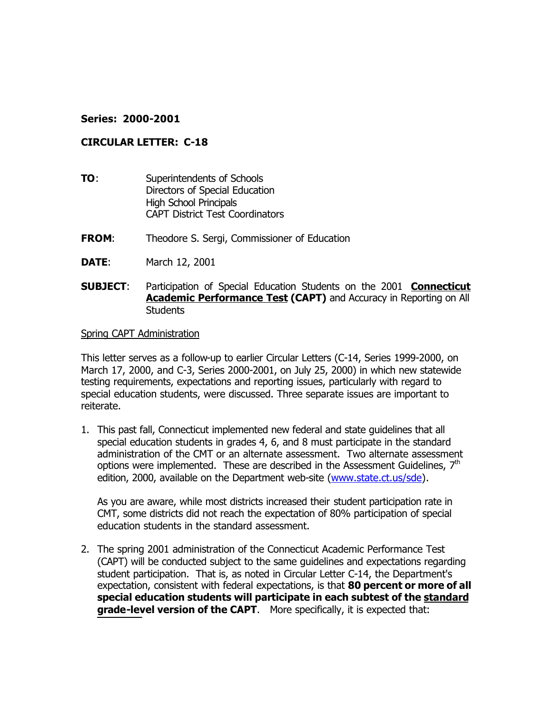## **Series: 2000-2001**

### **CIRCULAR LETTER: C-18**

- **TO:** Superintendents of Schools Directors of Special Education High School Principals CAPT District Test Coordinators
- **FROM:** Theodore S. Sergi, Commissioner of Education
- **DATE**: March 12, 2001
- **SUBJECT**: Participation of Special Education Students on the 2001 **Connecticut Academic Performance Test (CAPT)** and Accuracy in Reporting on All Students

#### Spring CAPT Administration

This letter serves as a follow-up to earlier Circular Letters (C-14, Series 1999-2000, on March 17, 2000, and C-3, Series 2000-2001, on July 25, 2000) in which new statewide testing requirements, expectations and reporting issues, particularly with regard to special education students, were discussed. Three separate issues are important to reiterate.

1. This past fall, Connecticut implemented new federal and state guidelines that all special education students in grades 4, 6, and 8 must participate in the standard administration of the CMT or an alternate assessment. Two alternate assessment options were implemented. These are described in the Assessment Guidelines,  $7<sup>th</sup>$ edition, 2000, available on the Department web-site (www.state.ct.us/sde).

As you are aware, while most districts increased their student participation rate in CMT, some districts did not reach the expectation of 80% participation of special education students in the standard assessment.

2. The spring 2001 administration of the Connecticut Academic Performance Test (CAPT) will be conducted subject to the same guidelines and expectations regarding student participation. That is, as noted in Circular Letter C-14, the Department's expectation, consistent with federal expectations, is that **80 percent or more of all special education students will participate in each subtest of the standard grade-level version of the CAPT**. More specifically, it is expected that: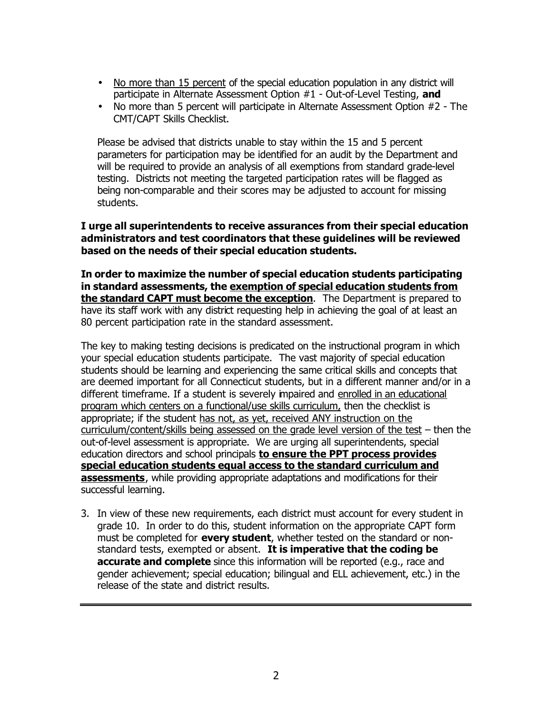- No more than 15 percent of the special education population in any district will participate in Alternate Assessment Option #1 - Out-of-Level Testing, **and**
- No more than 5 percent will participate in Alternate Assessment Option #2 The CMT/CAPT Skills Checklist.

Please be advised that districts unable to stay within the 15 and 5 percent parameters for participation may be identified for an audit by the Department and will be required to provide an analysis of all exemptions from standard grade-level testing. Districts not meeting the targeted participation rates will be flagged as being non-comparable and their scores may be adjusted to account for missing students.

## **I urge all superintendents to receive assurances from their special education administrators and test coordinators that these guidelines will be reviewed based on the needs of their special education students.**

**In order to maximize the number of special education students participating in standard assessments, the exemption of special education students from the standard CAPT must become the exception**. The Department is prepared to have its staff work with any district requesting help in achieving the goal of at least an 80 percent participation rate in the standard assessment.

The key to making testing decisions is predicated on the instructional program in which your special education students participate. The vast majority of special education students should be learning and experiencing the same critical skills and concepts that are deemed important for all Connecticut students, but in a different manner and/or in a different timeframe. If a student is severely impaired and enrolled in an educational program which centers on a functional/use skills curriculum, then the checklist is appropriate; if the student has not, as yet, received ANY instruction on the curriculum/content/skills being assessed on the grade level version of the test – then the out-of-level assessment is appropriate. We are urging all superintendents, special education directors and school principals **to ensure the PPT process provides special education students equal access to the standard curriculum and assessments**, while providing appropriate adaptations and modifications for their successful learning.

3. In view of these new requirements, each district must account for every student in grade 10. In order to do this, student information on the appropriate CAPT form must be completed for **every student**, whether tested on the standard or nonstandard tests, exempted or absent. **It is imperative that the coding be accurate and complete** since this information will be reported (e.g., race and gender achievement; special education; bilingual and ELL achievement, etc.) in the release of the state and district results.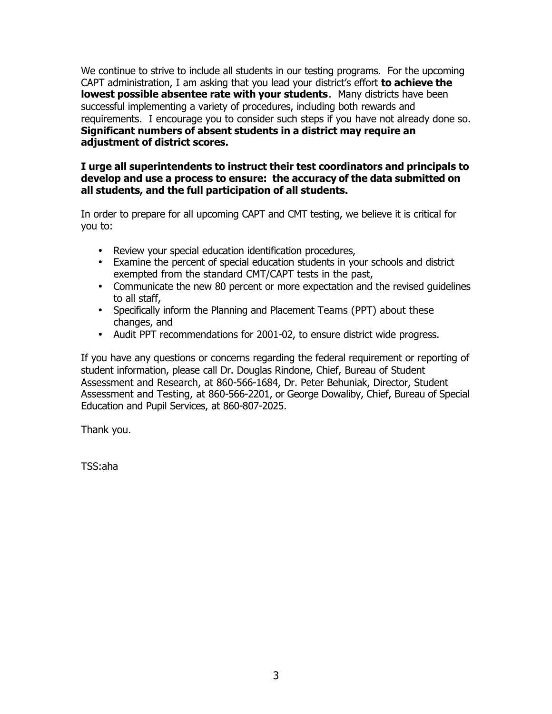We continue to strive to include all students in our testing programs. For the upcoming CAPT administration, I am asking that you lead your district's effort **to achieve the lowest possible absentee rate with your students**. Many districts have been successful implementing a variety of procedures, including both rewards and requirements. I encourage you to consider such steps if you have not already done so. **Significant numbers of absent students in a district may require an adjustment of district scores.** 

# **I urge all superintendents to instruct their test coordinators and principals to develop and use a process to ensure: the accuracy of the data submitted on all students, and the full participation of all students.**

In order to prepare for all upcoming CAPT and CMT testing, we believe it is critical for you to:

- Review your special education identification procedures,
- Examine the percent of special education students in your schools and district exempted from the standard CMT/CAPT tests in the past,
- Communicate the new 80 percent or more expectation and the revised guidelines to all staff,
- Specifically inform the Planning and Placement Teams (PPT) about these changes, and
- Audit PPT recommendations for 2001-02, to ensure district wide progress.

If you have any questions or concerns regarding the federal requirement or reporting of student information, please call Dr. Douglas Rindone, Chief, Bureau of Student Assessment and Research, at 860-566-1684, Dr. Peter Behuniak, Director, Student Assessment and Testing, at 860-566-2201, or George Dowaliby, Chief, Bureau of Special Education and Pupil Services, at 860-807-2025.

Thank you.

TSS:aha